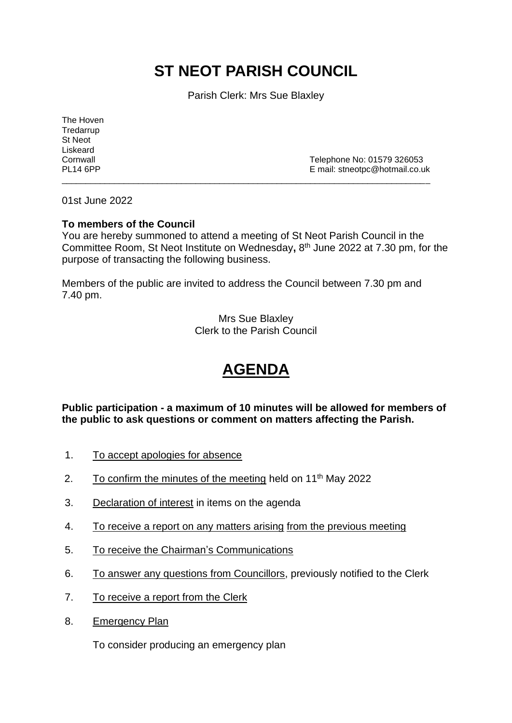# **ST NEOT PARISH COUNCIL**

Parish Clerk: Mrs Sue Blaxley

The Hoven **Tredarrup** St Neot Liskeard

Cornwall Cornwall Cornwall Cornwall Cornwall Cornwall Cornwall Cornwall Cornwall Cornwall Cornwall Corner Corner Corner Corner Corner Corner Corner Corner Corner Corner Corner Corner Corner Corner Corner Corner Corner Corn E mail: stneotpc@hotmail.co.uk

01st June 2022

## **To members of the Council**

You are hereby summoned to attend a meeting of St Neot Parish Council in the Committee Room, St Neot Institute on Wednesday**,** 8 th June 2022 at 7.30 pm, for the purpose of transacting the following business.

\_\_\_\_\_\_\_\_\_\_\_\_\_\_\_\_\_\_\_\_\_\_\_\_\_\_\_\_\_\_\_\_\_\_\_\_\_\_\_\_\_\_\_\_\_\_\_\_\_\_\_\_\_\_\_\_\_\_\_\_\_\_\_\_\_\_\_\_\_\_\_\_\_\_\_\_\_

Members of the public are invited to address the Council between 7.30 pm and 7.40 pm.

> Mrs Sue Blaxley Clerk to the Parish Council

## **AGENDA**

**Public participation - a maximum of 10 minutes will be allowed for members of the public to ask questions or comment on matters affecting the Parish.**

- 1. To accept apologies for absence
- 2. To confirm the minutes of the meeting held on  $11<sup>th</sup>$  May 2022
- 3. Declaration of interest in items on the agenda
- 4. To receive a report on any matters arising from the previous meeting
- 5. To receive the Chairman's Communications
- 6. To answer any questions from Councillors, previously notified to the Clerk
- 7. To receive a report from the Clerk
- 8. Emergency Plan

To consider producing an emergency plan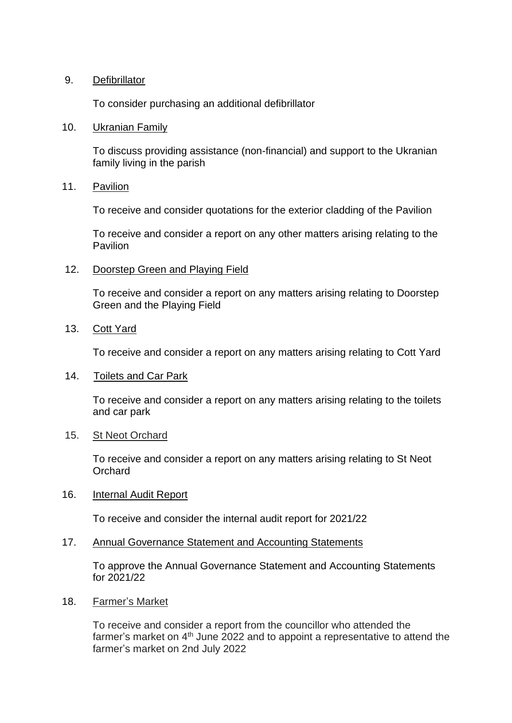## 9. Defibrillator

To consider purchasing an additional defibrillator

#### 10. Ukranian Family

To discuss providing assistance (non-financial) and support to the Ukranian family living in the parish

#### 11. Pavilion

To receive and consider quotations for the exterior cladding of the Pavilion

To receive and consider a report on any other matters arising relating to the Pavilion

#### 12. Doorstep Green and Playing Field

To receive and consider a report on any matters arising relating to Doorstep Green and the Playing Field

## 13. Cott Yard

To receive and consider a report on any matters arising relating to Cott Yard

#### 14. Toilets and Car Park

To receive and consider a report on any matters arising relating to the toilets and car park

#### 15. St Neot Orchard

To receive and consider a report on any matters arising relating to St Neot **Orchard** 

#### 16. Internal Audit Report

To receive and consider the internal audit report for 2021/22

#### 17. Annual Governance Statement and Accounting Statements

To approve the Annual Governance Statement and Accounting Statements for 2021/22

#### 18. Farmer's Market

To receive and consider a report from the councillor who attended the farmer's market on 4<sup>th</sup> June 2022 and to appoint a representative to attend the farmer's market on 2nd July 2022